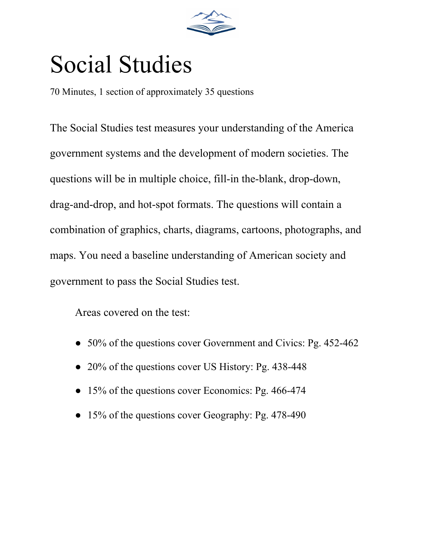

# Social Studies

70 Minutes, 1 section of approximately 35 questions

The Social Studies test measures your understanding of the America government systems and the development of modern societies. The questions will be in multiple choice, fill-in the-blank, drop-down, drag-and-drop, and hot-spot formats. The questions will contain a combination of graphics, charts, diagrams, cartoons, photographs, and maps. You need a baseline understanding of American society and government to pass the Social Studies test.

Areas covered on the test:

- 50% of the questions cover Government and Civics: Pg. 452-462
- 20% of the questions cover US History: Pg. 438-448
- 15% of the questions cover Economics: Pg. 466-474
- 15% of the questions cover Geography: Pg. 478-490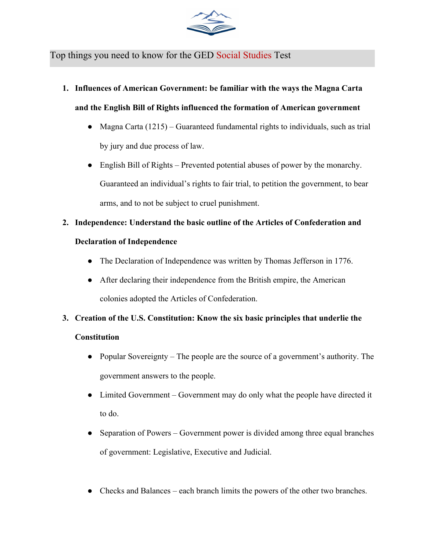

## Top things you need to know for the GED Social Studies Test

**1. Influences of American Government: be familiar with the ways the Magna Carta**

**and the English Bill of Rights influenced the formation of American government**

- Magna Carta  $(1215)$  Guaranteed fundamental rights to individuals, such as trial by jury and due process of law.
- English Bill of Rights Prevented potential abuses of power by the monarchy. Guaranteed an individual's rights to fair trial, to petition the government, to bear arms, and to not be subject to cruel punishment.

# **2. Independence: Understand the basic outline of the Articles of Confederation and**

### **Declaration of Independence**

- The Declaration of Independence was written by Thomas Jefferson in 1776.
- After declaring their independence from the British empire, the American colonies adopted the Articles of Confederation.
- **3. Creation of the U.S. Constitution: Know the six basic principles that underlie the Constitution**
	- Popular Sovereignty The people are the source of a government's authority. The government answers to the people.
	- Limited Government Government may do only what the people have directed it to do.
	- Separation of Powers Government power is divided among three equal branches of government: Legislative, Executive and Judicial.
	- Checks and Balances each branch limits the powers of the other two branches.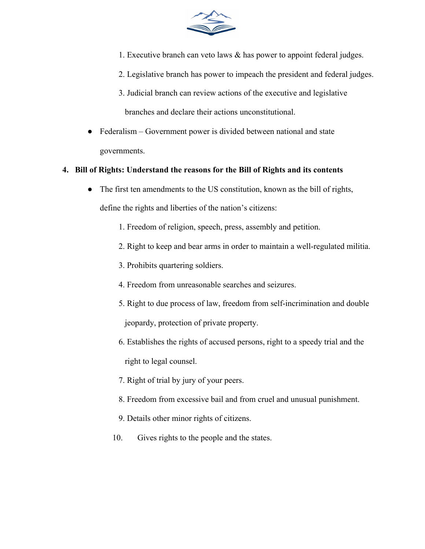

- 1. Executive branch can veto laws & has power to appoint federal judges.
- 2. Legislative branch has power to impeach the president and federal judges.
- 3. Judicial branch can review actions of the executive and legislative branches and declare their actions unconstitutional.
- Federalism Government power is divided between national and state governments.

#### **4. Bill of Rights: Understand the reasons for the Bill of Rights and its contents**

- The first ten amendments to the US constitution, known as the bill of rights, define the rights and liberties of the nation's citizens:
	- 1. Freedom of religion, speech, press, assembly and petition.
	- 2. Right to keep and bear arms in order to maintain a well-regulated militia.
	- 3. Prohibits quartering soldiers.
	- 4. Freedom from unreasonable searches and seizures.
	- 5. Right to due process of law, freedom from self-incrimination and double jeopardy, protection of private property.
	- 6. Establishes the rights of accused persons, right to a speedy trial and the right to legal counsel.
	- 7. Right of trial by jury of your peers.
	- 8. Freedom from excessive bail and from cruel and unusual punishment.
	- 9. Details other minor rights of citizens.
	- 10. Gives rights to the people and the states.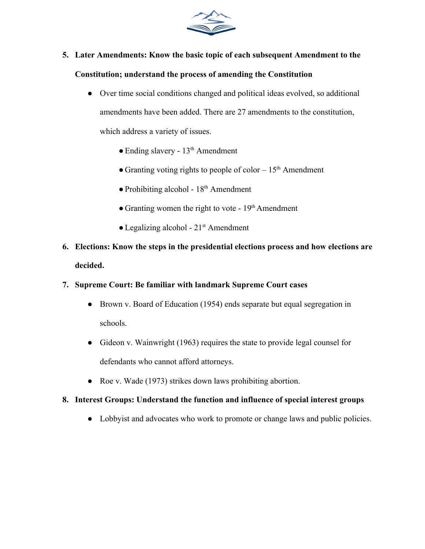

- **5. Later Amendments: Know the basic topic of each subsequent Amendment to the Constitution; understand the process of amending the Constitution**
	- Over time social conditions changed and political ideas evolved, so additional amendments have been added. There are 27 amendments to the constitution, which address a variety of issues.
		- Ending slavery 13<sup>th</sup> Amendment
		- Granting voting rights to people of color  $-15<sup>th</sup>$  Amendment
		- Prohibiting alcohol 18<sup>th</sup> Amendment
		- Granting women the right to vote  $19<sup>th</sup>$  Amendment
		- Legalizing alcohol 21<sup>st</sup> Amendment
- **6. Elections: Know the steps in the presidential elections process and how elections are decided.**

#### **7. Supreme Court: Be familiar with landmark Supreme Court cases**

- Brown v. Board of Education (1954) ends separate but equal segregation in schools.
- Gideon v. Wainwright (1963) requires the state to provide legal counsel for defendants who cannot afford attorneys.
- Roe v. Wade (1973) strikes down laws prohibiting abortion.

#### **8. Interest Groups: Understand the function and influence of special interest groups**

● Lobbyist and advocates who work to promote or change laws and public policies.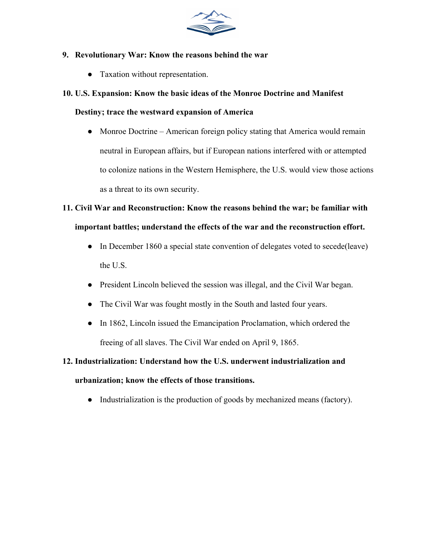

#### **9. Revolutionary War: Know the reasons behind the war**

● Taxation without representation.

#### **10. U.S. Expansion: Know the basic ideas of the Monroe Doctrine and Manifest**

#### **Destiny; trace the westward expansion of America**

• Monroe Doctrine – American foreign policy stating that America would remain neutral in European affairs, but if European nations interfered with or attempted to colonize nations in the Western Hemisphere, the U.S. would view those actions as a threat to its own security.

# **11. Civil War and Reconstruction: Know the reasons behind the war; be familiar with important battles; understand the effects of the war and the reconstruction effort.**

- In December 1860 a special state convention of delegates voted to secede(leave) the U.S.
- President Lincoln believed the session was illegal, and the Civil War began.
- The Civil War was fought mostly in the South and lasted four years.
- In 1862, Lincoln issued the Emancipation Proclamation, which ordered the freeing of all slaves. The Civil War ended on April 9, 1865.

## **12. Industrialization: Understand how the U.S. underwent industrialization and**

#### **urbanization; know the effects of those transitions.**

• Industrialization is the production of goods by mechanized means (factory).